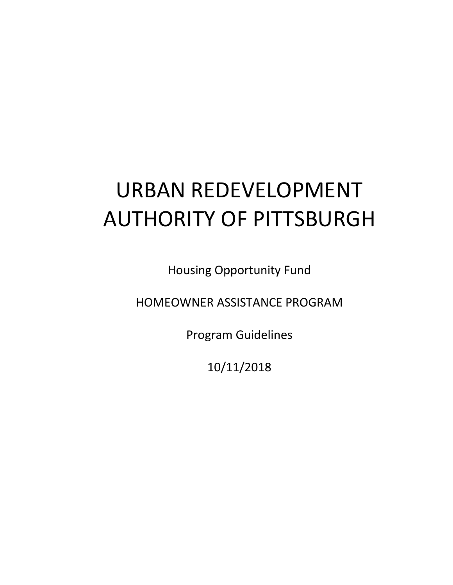# URBAN REDEVELOPMENT AUTHORITY OF PITTSBURGH

Housing Opportunity Fund

HOMEOWNER ASSISTANCE PROGRAM

Program Guidelines

10/11/2018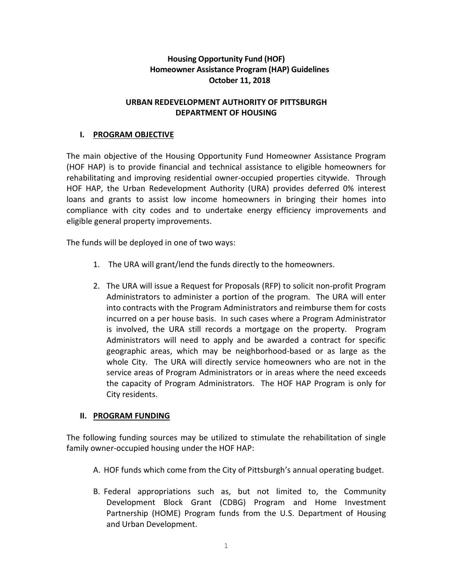## **Housing Opportunity Fund (HOF) Homeowner Assistance Program (HAP) Guidelines October 11, 2018**

## **URBAN REDEVELOPMENT AUTHORITY OF PITTSBURGH DEPARTMENT OF HOUSING**

## **I. PROGRAM OBJECTIVE**

The main objective of the Housing Opportunity Fund Homeowner Assistance Program (HOF HAP) is to provide financial and technical assistance to eligible homeowners for rehabilitating and improving residential owner-occupied properties citywide. Through HOF HAP, the Urban Redevelopment Authority (URA) provides deferred 0% interest loans and grants to assist low income homeowners in bringing their homes into compliance with city codes and to undertake energy efficiency improvements and eligible general property improvements.

The funds will be deployed in one of two ways:

- 1. The URA will grant/lend the funds directly to the homeowners.
- 2. The URA will issue a Request for Proposals (RFP) to solicit non-profit Program Administrators to administer a portion of the program. The URA will enter into contracts with the Program Administrators and reimburse them for costs incurred on a per house basis. In such cases where a Program Administrator is involved, the URA still records a mortgage on the property. Program Administrators will need to apply and be awarded a contract for specific geographic areas, which may be neighborhood-based or as large as the whole City. The URA will directly service homeowners who are not in the service areas of Program Administrators or in areas where the need exceeds the capacity of Program Administrators. The HOF HAP Program is only for City residents.

#### **II. PROGRAM FUNDING**

The following funding sources may be utilized to stimulate the rehabilitation of single family owner-occupied housing under the HOF HAP:

- A. HOF funds which come from the City of Pittsburgh's annual operating budget.
- B. Federal appropriations such as, but not limited to, the Community Development Block Grant (CDBG) Program and Home Investment Partnership (HOME) Program funds from the U.S. Department of Housing and Urban Development.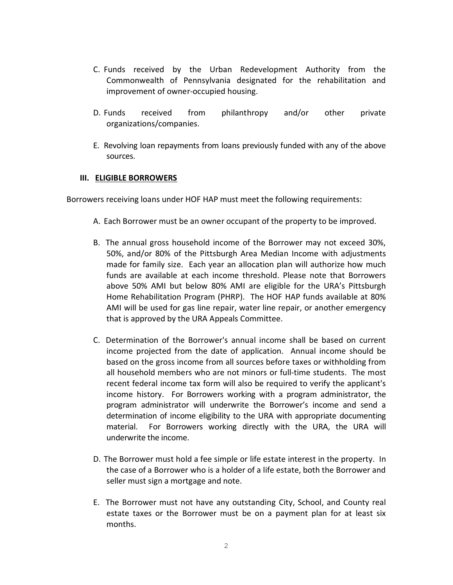- C. Funds received by the Urban Redevelopment Authority from the Commonwealth of Pennsylvania designated for the rehabilitation and improvement of owner-occupied housing.
- D. Funds received from philanthropy and/or other private organizations/companies.
- E. Revolving loan repayments from loans previously funded with any of the above sources.

#### **III. ELIGIBLE BORROWERS**

Borrowers receiving loans under HOF HAP must meet the following requirements:

- A. Each Borrower must be an owner occupant of the property to be improved.
- B. The annual gross household income of the Borrower may not exceed 30%, 50%, and/or 80% of the Pittsburgh Area Median Income with adjustments made for family size. Each year an allocation plan will authorize how much funds are available at each income threshold. Please note that Borrowers above 50% AMI but below 80% AMI are eligible for the URA's Pittsburgh Home Rehabilitation Program (PHRP). The HOF HAP funds available at 80% AMI will be used for gas line repair, water line repair, or another emergency that is approved by the URA Appeals Committee.
- C. Determination of the Borrower's annual income shall be based on current income projected from the date of application. Annual income should be based on the gross income from all sources before taxes or withholding from all household members who are not minors or full-time students. The most recent federal income tax form will also be required to verify the applicant's income history. For Borrowers working with a program administrator, the program administrator will underwrite the Borrower's income and send a determination of income eligibility to the URA with appropriate documenting material. For Borrowers working directly with the URA, the URA will underwrite the income.
- D. The Borrower must hold a fee simple or life estate interest in the property. In the case of a Borrower who is a holder of a life estate, both the Borrower and seller must sign a mortgage and note.
- E. The Borrower must not have any outstanding City, School, and County real estate taxes or the Borrower must be on a payment plan for at least six months.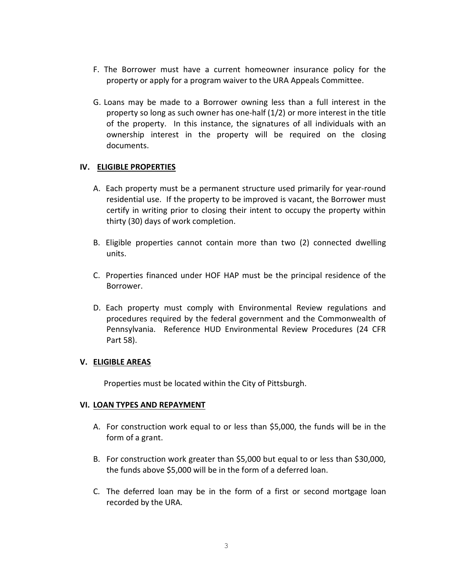- F. The Borrower must have a current homeowner insurance policy for the property or apply for a program waiver to the URA Appeals Committee.
- G. Loans may be made to a Borrower owning less than a full interest in the property so long as such owner has one-half (1/2) or more interest in the title of the property. In this instance, the signatures of all individuals with an ownership interest in the property will be required on the closing documents.

#### **IV. ELIGIBLE PROPERTIES**

- A. Each property must be a permanent structure used primarily for year-round residential use. If the property to be improved is vacant, the Borrower must certify in writing prior to closing their intent to occupy the property within thirty (30) days of work completion.
- B. Eligible properties cannot contain more than two (2) connected dwelling units.
- C. Properties financed under HOF HAP must be the principal residence of the Borrower.
- D. Each property must comply with Environmental Review regulations and procedures required by the federal government and the Commonwealth of Pennsylvania. Reference HUD Environmental Review Procedures (24 CFR Part 58).

#### **V. ELIGIBLE AREAS**

Properties must be located within the City of Pittsburgh.

#### **VI. LOAN TYPES AND REPAYMENT**

- A. For construction work equal to or less than \$5,000, the funds will be in the form of a grant.
- B. For construction work greater than \$5,000 but equal to or less than \$30,000, the funds above \$5,000 will be in the form of a deferred loan.
- C. The deferred loan may be in the form of a first or second mortgage loan recorded by the URA.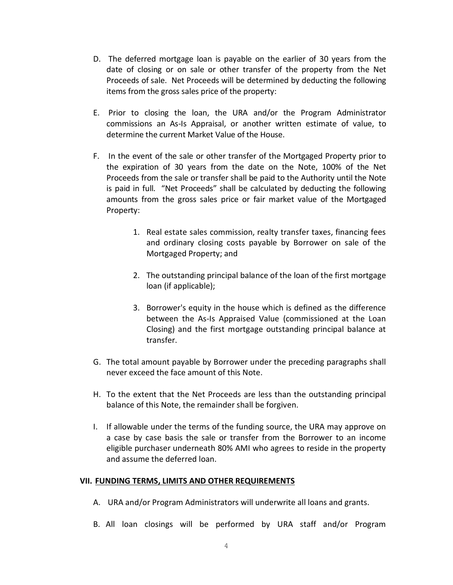- D. The deferred mortgage loan is payable on the earlier of 30 years from the date of closing or on sale or other transfer of the property from the Net Proceeds of sale. Net Proceeds will be determined by deducting the following items from the gross sales price of the property:
- E. Prior to closing the loan, the URA and/or the Program Administrator commissions an As-Is Appraisal, or another written estimate of value, to determine the current Market Value of the House.
- F. In the event of the sale or other transfer of the Mortgaged Property prior to the expiration of 30 years from the date on the Note, 100% of the Net Proceeds from the sale or transfer shall be paid to the Authority until the Note is paid in full. "Net Proceeds" shall be calculated by deducting the following amounts from the gross sales price or fair market value of the Mortgaged Property:
	- 1. Real estate sales commission, realty transfer taxes, financing fees and ordinary closing costs payable by Borrower on sale of the Mortgaged Property; and
	- 2. The outstanding principal balance of the loan of the first mortgage loan (if applicable);
	- 3. Borrower's equity in the house which is defined as the difference between the As-Is Appraised Value (commissioned at the Loan Closing) and the first mortgage outstanding principal balance at transfer.
- G. The total amount payable by Borrower under the preceding paragraphs shall never exceed the face amount of this Note.
- H. To the extent that the Net Proceeds are less than the outstanding principal balance of this Note, the remainder shall be forgiven.
- I. If allowable under the terms of the funding source, the URA may approve on a case by case basis the sale or transfer from the Borrower to an income eligible purchaser underneath 80% AMI who agrees to reside in the property and assume the deferred loan.

#### **VII. FUNDING TERMS, LIMITS AND OTHER REQUIREMENTS**

- A. URA and/or Program Administrators will underwrite all loans and grants.
- B. All loan closings will be performed by URA staff and/or Program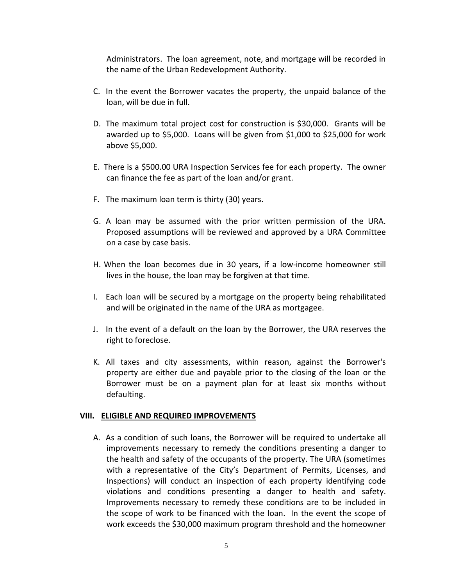Administrators. The loan agreement, note, and mortgage will be recorded in the name of the Urban Redevelopment Authority.

- C. In the event the Borrower vacates the property, the unpaid balance of the loan, will be due in full.
- D. The maximum total project cost for construction is \$30,000. Grants will be awarded up to \$5,000. Loans will be given from \$1,000 to \$25,000 for work above \$5,000.
- E. There is a \$500.00 URA Inspection Services fee for each property. The owner can finance the fee as part of the loan and/or grant.
- F. The maximum loan term is thirty (30) years.
- G. A loan may be assumed with the prior written permission of the URA. Proposed assumptions will be reviewed and approved by a URA Committee on a case by case basis.
- H. When the loan becomes due in 30 years, if a low-income homeowner still lives in the house, the loan may be forgiven at that time.
- I. Each loan will be secured by a mortgage on the property being rehabilitated and will be originated in the name of the URA as mortgagee.
- J. In the event of a default on the loan by the Borrower, the URA reserves the right to foreclose.
- K. All taxes and city assessments, within reason, against the Borrower's property are either due and payable prior to the closing of the loan or the Borrower must be on a payment plan for at least six months without defaulting.

#### **VIII. ELIGIBLE AND REQUIRED IMPROVEMENTS**

A. As a condition of such loans, the Borrower will be required to undertake all improvements necessary to remedy the conditions presenting a danger to the health and safety of the occupants of the property. The URA (sometimes with a representative of the City's Department of Permits, Licenses, and Inspections) will conduct an inspection of each property identifying code violations and conditions presenting a danger to health and safety. Improvements necessary to remedy these conditions are to be included in the scope of work to be financed with the loan. In the event the scope of work exceeds the \$30,000 maximum program threshold and the homeowner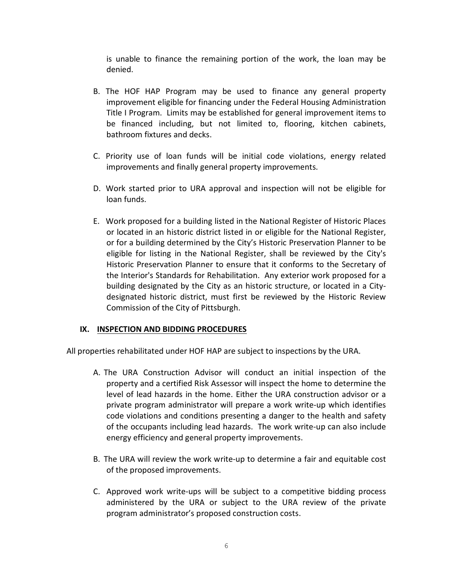is unable to finance the remaining portion of the work, the loan may be denied.

- B. The HOF HAP Program may be used to finance any general property improvement eligible for financing under the Federal Housing Administration Title I Program. Limits may be established for general improvement items to be financed including, but not limited to, flooring, kitchen cabinets, bathroom fixtures and decks.
- C. Priority use of loan funds will be initial code violations, energy related improvements and finally general property improvements.
- D. Work started prior to URA approval and inspection will not be eligible for loan funds.
- E. Work proposed for a building listed in the National Register of Historic Places or located in an historic district listed in or eligible for the National Register, or for a building determined by the City's Historic Preservation Planner to be eligible for listing in the National Register, shall be reviewed by the City's Historic Preservation Planner to ensure that it conforms to the Secretary of the Interior's Standards for Rehabilitation. Any exterior work proposed for a building designated by the City as an historic structure, or located in a Citydesignated historic district, must first be reviewed by the Historic Review Commission of the City of Pittsburgh.

#### **IX. INSPECTION AND BIDDING PROCEDURES**

All properties rehabilitated under HOF HAP are subject to inspections by the URA.

- A. The URA Construction Advisor will conduct an initial inspection of the property and a certified Risk Assessor will inspect the home to determine the level of lead hazards in the home. Either the URA construction advisor or a private program administrator will prepare a work write-up which identifies code violations and conditions presenting a danger to the health and safety of the occupants including lead hazards. The work write-up can also include energy efficiency and general property improvements.
- B. The URA will review the work write-up to determine a fair and equitable cost of the proposed improvements.
- C. Approved work write-ups will be subject to a competitive bidding process administered by the URA or subject to the URA review of the private program administrator's proposed construction costs.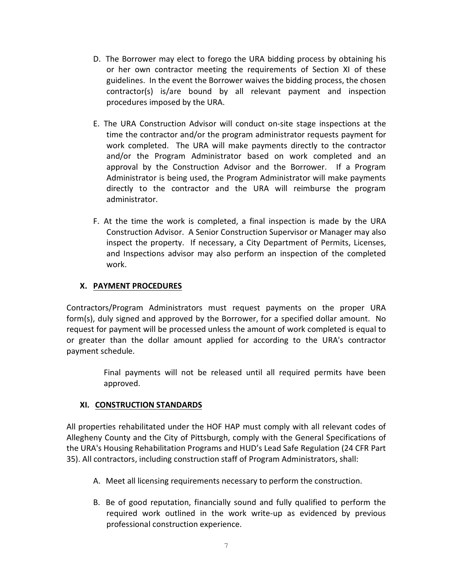- D. The Borrower may elect to forego the URA bidding process by obtaining his or her own contractor meeting the requirements of Section XI of these guidelines. In the event the Borrower waives the bidding process, the chosen contractor(s) is/are bound by all relevant payment and inspection procedures imposed by the URA.
- E. The URA Construction Advisor will conduct on-site stage inspections at the time the contractor and/or the program administrator requests payment for work completed. The URA will make payments directly to the contractor and/or the Program Administrator based on work completed and an approval by the Construction Advisor and the Borrower. If a Program Administrator is being used, the Program Administrator will make payments directly to the contractor and the URA will reimburse the program administrator.
- F. At the time the work is completed, a final inspection is made by the URA Construction Advisor. A Senior Construction Supervisor or Manager may also inspect the property. If necessary, a City Department of Permits, Licenses, and Inspections advisor may also perform an inspection of the completed work.

## **X. PAYMENT PROCEDURES**

Contractors/Program Administrators must request payments on the proper URA form(s), duly signed and approved by the Borrower, for a specified dollar amount. No request for payment will be processed unless the amount of work completed is equal to or greater than the dollar amount applied for according to the URA's contractor payment schedule.

> Final payments will not be released until all required permits have been approved.

## **XI. CONSTRUCTION STANDARDS**

All properties rehabilitated under the HOF HAP must comply with all relevant codes of Allegheny County and the City of Pittsburgh, comply with the General Specifications of the URA's Housing Rehabilitation Programs and HUD's Lead Safe Regulation (24 CFR Part 35). All contractors, including construction staff of Program Administrators, shall:

- A. Meet all licensing requirements necessary to perform the construction.
- B. Be of good reputation, financially sound and fully qualified to perform the required work outlined in the work write-up as evidenced by previous professional construction experience.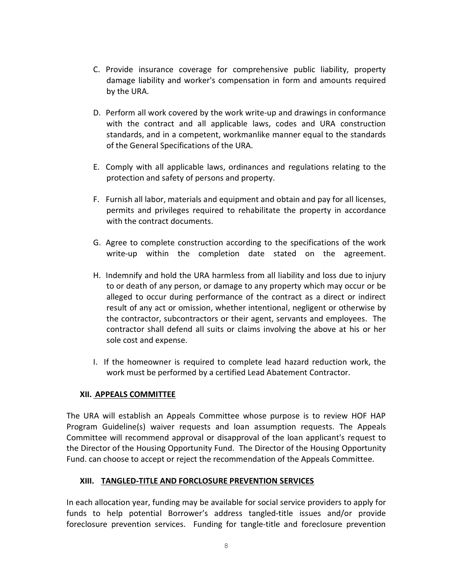- C. Provide insurance coverage for comprehensive public liability, property damage liability and worker's compensation in form and amounts required by the URA.
- D. Perform all work covered by the work write-up and drawings in conformance with the contract and all applicable laws, codes and URA construction standards, and in a competent, workmanlike manner equal to the standards of the General Specifications of the URA.
- E. Comply with all applicable laws, ordinances and regulations relating to the protection and safety of persons and property.
- F. Furnish all labor, materials and equipment and obtain and pay for all licenses, permits and privileges required to rehabilitate the property in accordance with the contract documents.
- G. Agree to complete construction according to the specifications of the work write-up within the completion date stated on the agreement.
- H. Indemnify and hold the URA harmless from all liability and loss due to injury to or death of any person, or damage to any property which may occur or be alleged to occur during performance of the contract as a direct or indirect result of any act or omission, whether intentional, negligent or otherwise by the contractor, subcontractors or their agent, servants and employees. The contractor shall defend all suits or claims involving the above at his or her sole cost and expense.
- I. If the homeowner is required to complete lead hazard reduction work, the work must be performed by a certified Lead Abatement Contractor.

#### **XII. APPEALS COMMITTEE**

The URA will establish an Appeals Committee whose purpose is to review HOF HAP Program Guideline(s) waiver requests and loan assumption requests. The Appeals Committee will recommend approval or disapproval of the loan applicant's request to the Director of the Housing Opportunity Fund. The Director of the Housing Opportunity Fund. can choose to accept or reject the recommendation of the Appeals Committee.

## **XIII. TANGLED-TITLE AND FORCLOSURE PREVENTION SERVICES**

In each allocation year, funding may be available for social service providers to apply for funds to help potential Borrower's address tangled-title issues and/or provide foreclosure prevention services. Funding for tangle-title and foreclosure prevention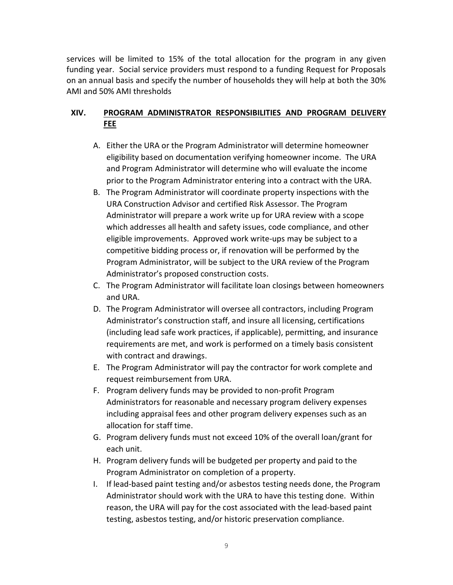services will be limited to 15% of the total allocation for the program in any given funding year. Social service providers must respond to a funding Request for Proposals on an annual basis and specify the number of households they will help at both the 30% AMI and 50% AMI thresholds

## **XIV. PROGRAM ADMINISTRATOR RESPONSIBILITIES AND PROGRAM DELIVERY FEE**

- A. Either the URA or the Program Administrator will determine homeowner eligibility based on documentation verifying homeowner income. The URA and Program Administrator will determine who will evaluate the income prior to the Program Administrator entering into a contract with the URA.
- B. The Program Administrator will coordinate property inspections with the URA Construction Advisor and certified Risk Assessor. The Program Administrator will prepare a work write up for URA review with a scope which addresses all health and safety issues, code compliance, and other eligible improvements. Approved work write-ups may be subject to a competitive bidding process or, if renovation will be performed by the Program Administrator, will be subject to the URA review of the Program Administrator's proposed construction costs.
- C. The Program Administrator will facilitate loan closings between homeowners and URA.
- D. The Program Administrator will oversee all contractors, including Program Administrator's construction staff, and insure all licensing, certifications (including lead safe work practices, if applicable), permitting, and insurance requirements are met, and work is performed on a timely basis consistent with contract and drawings.
- E. The Program Administrator will pay the contractor for work complete and request reimbursement from URA.
- F. Program delivery funds may be provided to non-profit Program Administrators for reasonable and necessary program delivery expenses including appraisal fees and other program delivery expenses such as an allocation for staff time.
- G. Program delivery funds must not exceed 10% of the overall loan/grant for each unit.
- H. Program delivery funds will be budgeted per property and paid to the Program Administrator on completion of a property.
- I. If lead-based paint testing and/or asbestos testing needs done, the Program Administrator should work with the URA to have this testing done. Within reason, the URA will pay for the cost associated with the lead-based paint testing, asbestos testing, and/or historic preservation compliance.